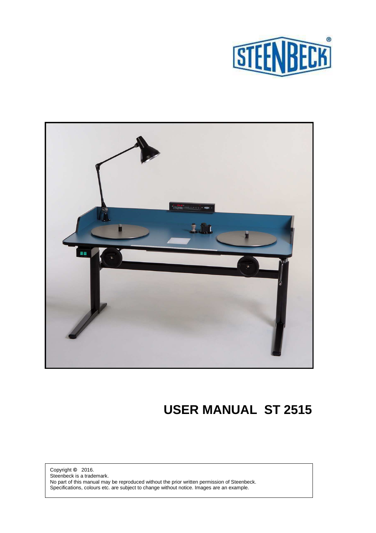



# **USER MANUAL ST 2515**

Copyright © 2016. Steenbeck is a trademark. No part of this manual may be reproduced without the prior written permission of Steenbeck. Specifications, colours etc. are subject to change without notice. Images are an example.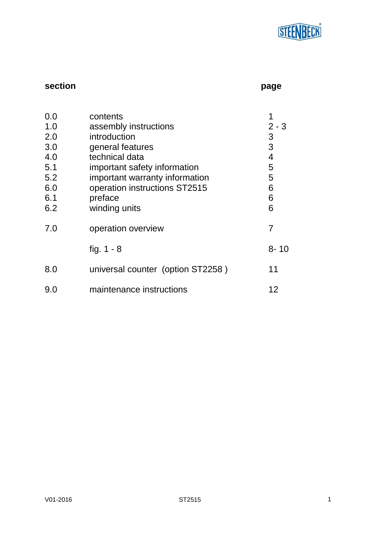

# 0.0 contents<br>
1.0 assembly instructions 1 2 - 3 1.0 assembly instructions 2.0 introduction 3<br>3.0 general features 3 3.0 general features 3<br>4.0 technical data 4 4.0 technical data<br>5.1 important safety information 5 important safety information<br>
important warranty information<br>
5 5.2 important warranty information 5<br>6.0 operation instructions ST2515 6 6.0 operation instructions ST2515 6.1 6<br>6.1 oreface 6 6.1 preface<br>6.2 winding winding units 6 7.0 operation overview 7 fig.  $1 - 8$  8- 10 8.0 universal counter (option ST2258) 11 9.0 maintenance instructions 12

**section page**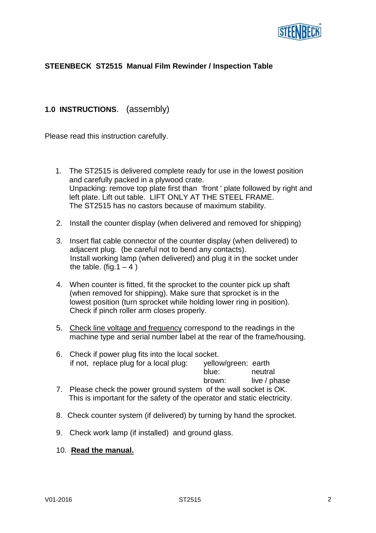

# **STEENBECK ST2515 Manual Film Rewinder / Inspection Table**

# **1.0 INSTRUCTIONS**. (assembly)

Please read this instruction carefully.

- 1. The ST2515 is delivered complete ready for use in the lowest position and carefully packed in a plywood crate. Unpacking: remove top plate first than 'front ' plate followed by right and left plate. Lift out table. LIFT ONLY AT THE STEEL FRAME. The ST2515 has no castors because of maximum stability.
- 2. Install the counter display (when delivered and removed for shipping)
- 3. Insert flat cable connector of the counter display (when delivered) to adjacent plug. (be careful not to bend any contacts). Install working lamp (when delivered) and plug it in the socket under the table. (fig.  $1 - 4$ )
- 4. When counter is fitted, fit the sprocket to the counter pick up shaft (when removed for shipping). Make sure that sprocket is in the lowest position (turn sprocket while holding lower ring in position). Check if pinch roller arm closes properly.
- 5. Check line voltage and frequency correspond to the readings in the machine type and serial number label at the rear of the frame/housing.
- 6. Check if power plug fits into the local socket. if not, replace plug for a local plug: yellow/green: earth blue: the neutral property of the blue: the neutral property of the neutral property of the neutral property of the  $\sim$  brown: live / phase 7. Please check the power ground system of the wall socket is OK. This is important for the safety of the operator and static electricity.
	- 8. Check counter system (if delivered) by turning by hand the sprocket.
	- 9. Check work lamp (if installed) and ground glass.
	- 10. **Read the manual.**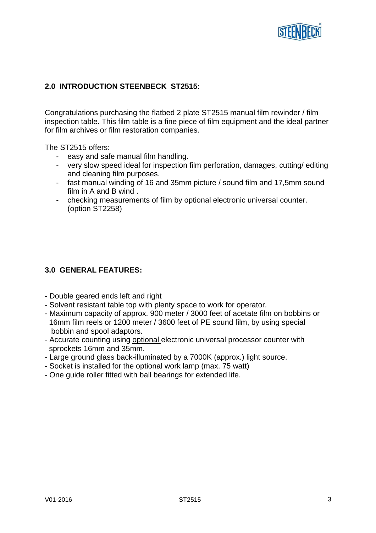

# **2.0 INTRODUCTION STEENBECK ST2515:**

Congratulations purchasing the flatbed 2 plate ST2515 manual film rewinder / film inspection table. This film table is a fine piece of film equipment and the ideal partner for film archives or film restoration companies.

The ST2515 offers:

- easy and safe manual film handling.
- very slow speed ideal for inspection film perforation, damages, cutting/ editing and cleaning film purposes.
- fast manual winding of 16 and 35mm picture / sound film and 17,5mm sound film in A and B wind .
- checking measurements of film by optional electronic universal counter. (option ST2258)

# **3.0 GENERAL FEATURES:**

- Double geared ends left and right
- Solvent resistant table top with plenty space to work for operator.
- Maximum capacity of approx. 900 meter / 3000 feet of acetate film on bobbins or 16mm film reels or 1200 meter / 3600 feet of PE sound film, by using special bobbin and spool adaptors.
- Accurate counting using optional electronic universal processor counter with sprockets 16mm and 35mm.
- Large ground glass back-illuminated by a 7000K (approx.) light source.
- Socket is installed for the optional work lamp (max. 75 watt)
- One guide roller fitted with ball bearings for extended life.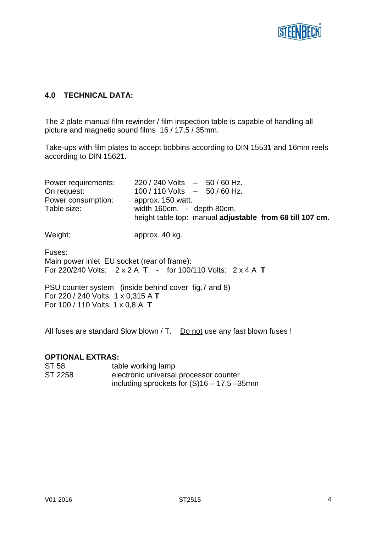

# **4.0 TECHNICAL DATA:**

The 2 plate manual film rewinder / film inspection table is capable of handling all picture and magnetic sound films 16 / 17,5 / 35mm.

Take-ups with film plates to accept bobbins according to DIN 15531 and 16mm reels according to DIN 15621.

| Power requirements: | $220 / 240$ Volts $- 50 / 60$ Hz.                        |
|---------------------|----------------------------------------------------------|
| On request:         | $100 / 110$ Volts $- 50 / 60$ Hz.                        |
| Power consumption:  | approx. 150 watt.                                        |
| Table size:         | width 160cm. - depth 80cm.                               |
|                     | height table top: manual adjustable from 68 till 107 cm. |

Weight: approx. 40 kg.

Fuses:

Main power inlet EU socket (rear of frame): For 220/240 Volts: 2 x 2 A **T** - for 100/110 Volts: 2 x 4 A **T** 

PSU counter system (inside behind cover fig.7 and 8) For 220 / 240 Volts: 1 x 0,315 A **T** For 100 / 110 Volts: 1 x 0,8 A **T** 

All fuses are standard Slow blown / T. Do not use any fast blown fuses !

#### **OPTIONAL EXTRAS:**

| ST 58   | table working lamp                            |
|---------|-----------------------------------------------|
| ST 2258 | electronic universal processor counter        |
|         | including sprockets for $(S)$ 16 - 17,5 -35mm |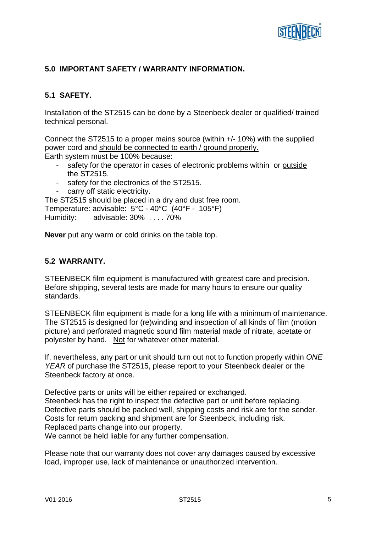

# **5.0 IMPORTANT SAFETY / WARRANTY INFORMATION.**

# **5.1 SAFETY.**

Installation of the ST2515 can be done by a Steenbeck dealer or qualified/ trained technical personal.

Connect the ST2515 to a proper mains source (within +/- 10%) with the supplied power cord and should be connected to earth / ground properly.

Earth system must be 100% because:

- safety for the operator in cases of electronic problems within or outside the ST2515.
- safety for the electronics of the ST2515.
- carry off static electricity.

The ST2515 should be placed in a dry and dust free room.

Temperature: advisable: 5°C - 40°C (40°F - 105°F)

Humidity: advisable: 30% . . . . 70%

**Never** put any warm or cold drinks on the table top.

#### **5.2 WARRANTY.**

STEENBECK film equipment is manufactured with greatest care and precision. Before shipping, several tests are made for many hours to ensure our quality standards.

STEENBECK film equipment is made for a long life with a minimum of maintenance. The ST2515 is designed for (re)winding and inspection of all kinds of film (motion picture) and perforated magnetic sound film material made of nitrate, acetate or polyester by hand. Not for whatever other material.

If, nevertheless, any part or unit should turn out not to function properly within ONE YEAR of purchase the ST2515, please report to your Steenbeck dealer or the Steenbeck factory at once.

Defective parts or units will be either repaired or exchanged. Steenbeck has the right to inspect the defective part or unit before replacing. Defective parts should be packed well, shipping costs and risk are for the sender. Costs for return packing and shipment are for Steenbeck, including risk. Replaced parts change into our property.

We cannot be held liable for any further compensation.

Please note that our warranty does not cover any damages caused by excessive load, improper use, lack of maintenance or unauthorized intervention.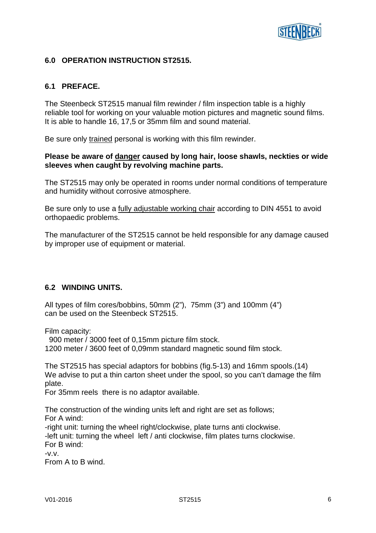

# **6.0 OPERATION INSTRUCTION ST2515.**

### **6.1 PREFACE.**

The Steenbeck ST2515 manual film rewinder / film inspection table is a highly reliable tool for working on your valuable motion pictures and magnetic sound films. It is able to handle 16, 17,5 or 35mm film and sound material.

Be sure only trained personal is working with this film rewinder.

#### **Please be aware of danger caused by long hair, loose shawls, neckties or wide sleeves when caught by revolving machine parts.**

The ST2515 may only be operated in rooms under normal conditions of temperature and humidity without corrosive atmosphere.

Be sure only to use a fully adjustable working chair according to DIN 4551 to avoid orthopaedic problems.

The manufacturer of the ST2515 cannot be held responsible for any damage caused by improper use of equipment or material.

#### **6.2 WINDING UNITS.**

All types of film cores/bobbins, 50mm (2"), 75mm (3") and 100mm (4") can be used on the Steenbeck ST2515.

Film capacity:

900 meter / 3000 feet of 0,15mm picture film stock.

1200 meter / 3600 feet of 0,09mm standard magnetic sound film stock.

The ST2515 has special adaptors for bobbins (fig.5-13) and 16mm spools.(14) We advise to put a thin carton sheet under the spool, so you can't damage the film plate.

For 35mm reels there is no adaptor available.

The construction of the winding units left and right are set as follows; For A wind: -right unit: turning the wheel right/clockwise, plate turns anti clockwise. -left unit: turning the wheel left / anti clockwise, film plates turns clockwise. For B wind: -v.v.

From A to B wind.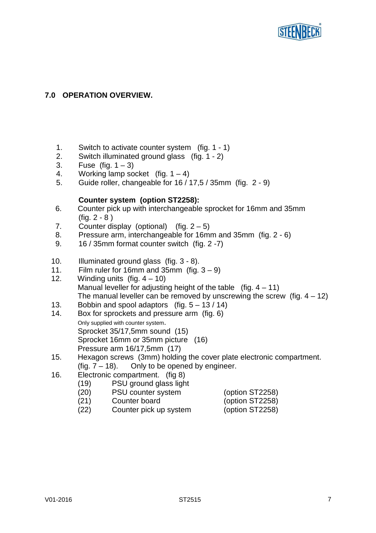

# **7.0 OPERATION OVERVIEW.**

- 1. Switch to activate counter system (fig. 1 1)
- 2. Switch illuminated ground glass (fig. 1 2)
- 3. Fuse (fig.  $1 3$ )
- 4. Working lamp socket  $(fiq. 1 4)$
- 5. Guide roller, changeable for 16 / 17,5 / 35mm (fig. 2 9)

#### **Counter system (option ST2258):**

- 6. Counter pick up with interchangeable sprocket for 16mm and 35mm  $(fiq. 2 - 8)$
- 7. Counter display (optional) (fig.  $2 5$ )
- 8. Pressure arm, interchangeable for 16mm and 35mm (fig. 2 6)
- 9. 16 / 35mm format counter switch (fig. 2 -7)
- 10. Illuminated ground glass (fig. 3 8).
- 11. Film ruler for 16mm and 35mm (fig.  $3 9$ )
- 12. Winding units  $(fiq. 4 10)$ Manual leveller for adjusting height of the table (fig.  $4 - 11$ ) The manual leveller can be removed by unscrewing the screw (fig.  $4 - 12$ )
- 13. Bobbin and spool adaptors  $(fiq. 5 13 / 14)$
- 14. Box for sprockets and pressure arm (fig. 6) Only supplied with counter system. Sprocket 35/17,5mm sound (15) Sprocket 16mm or 35mm picture (16) Pressure arm 16/17,5mm (17)
- 15. Hexagon screws (3mm) holding the cover plate electronic compartment. (fig.  $7 - 18$ ). Only to be opened by engineer.
- 16. Electronic compartment. (fig 8)
	- (19) PSU ground glass light
	- (20) PSU counter system (option ST2258)
	- (21) Counter board (option ST2258)
	- (22) Counter pick up system (option ST2258)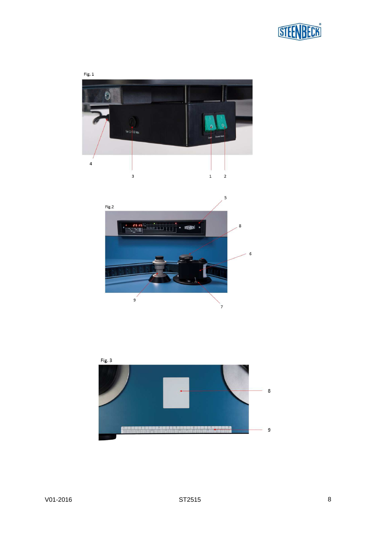



 $\mathbf{e}^{\prime}$ 



 $\overline{7}$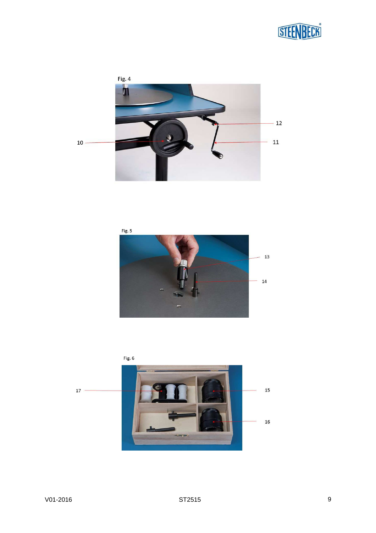





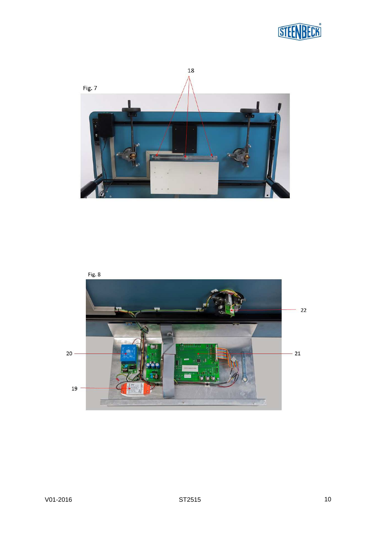



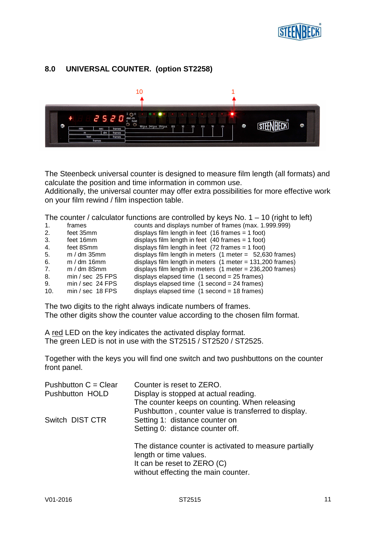

# **8.0 UNIVERSAL COUNTER. (option ST2258)**



The Steenbeck universal counter is designed to measure film length (all formats) and calculate the position and time information in common use.

Additionally, the universal counter may offer extra possibilities for more effective work on your film rewind / film inspection table.

The counter / calculator functions are controlled by keys No.  $1 - 10$  (right to left)

| $\mathbf{1}$ . | frames             | counts and displays number of frames (max. 1.999.999)               |
|----------------|--------------------|---------------------------------------------------------------------|
| 2.             | feet 35mm          | displays film length in feet $(16$ frames = 1 foot)                 |
| 3.             | feet 16mm          | displays film length in feet $(40$ frames = 1 foot)                 |
| 4.             | feet 8Smm          | displays film length in feet $(72 \text{ frames} = 1 \text{ foot})$ |
| 5.             | $m/dm$ 35 $mm$     | displays film length in meters $(1$ meter = 52,630 frames)          |
| 6.             | $m/dm$ 16 $mm$     | displays film length in meters $(1$ meter = 131,200 frames)         |
| 7.             | $m/dm$ 8Smm        | displays film length in meters $(1$ meter = 236,200 frames)         |
| 8.             | min / sec 25 FPS   | displays elapsed time $(1$ second = 25 frames)                      |
| 9.             | min / sec 24 FPS   | displays elapsed time $(1$ second = 24 frames)                      |
| 10.            | $min / sec$ 18 FPS | displays elapsed time $(1$ second = 18 frames)                      |

The two digits to the right always indicate numbers of frames. The other digits show the counter value according to the chosen film format.

A red LED on the key indicates the activated display format. The green LED is not in use with the ST2515 / ST2520 / ST2525.

Together with the keys you will find one switch and two pushbuttons on the counter front panel.

| Counter is reset to ZERO.                                                        |
|----------------------------------------------------------------------------------|
| Display is stopped at actual reading.                                            |
| The counter keeps on counting. When releasing                                    |
| Pushbutton, counter value is transferred to display.                             |
| Setting 1: distance counter on                                                   |
| Setting 0: distance counter off.                                                 |
| The distance counter is activated to measure partially<br>length or time values. |
| It can be reset to ZERO (C)<br>without effecting the main counter.               |
|                                                                                  |